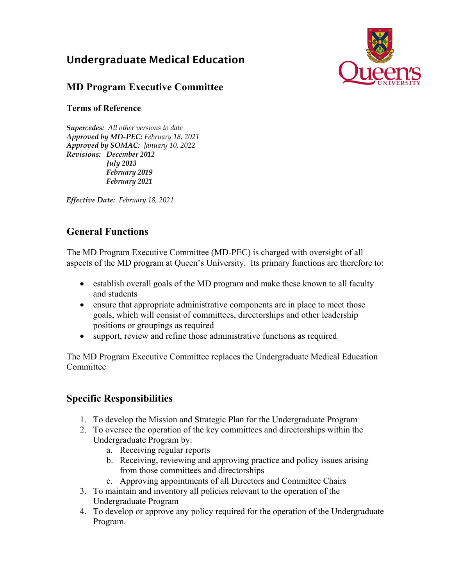# Undergraduate Medical Education



## **MD Program Executive Committee**

#### **Terms of Reference**

*Supercedes: All other versions to date Approved by MD-PEC: February 18, 2021 Approved by SOMAC: January 10, 2022 Revisions: December 2012 July 2013 February 2019 February 2021* 

*Effective Date: February 18, 2021* 

## **General Functions**

The MD Program Executive Committee (MD-PEC) is charged with oversight of all aspects of the MD program at Queen's University. Its primary functions are therefore to:

- establish overall goals of the MD program and make these known to all faculty and students
- ensure that appropriate administrative components are in place to meet those goals, which will consist of committees, directorships and other leadership positions or groupings as required
- support, review and refine those administrative functions as required

The MD Program Executive Committee replaces the Undergraduate Medical Education Committee

## **Specific Responsibilities**

- 1. To develop the Mission and Strategic Plan for the Undergraduate Program
- 2. To oversee the operation of the key committees and directorships within the Undergraduate Program by:
	- a. Receiving regular reports
	- b. Receiving, reviewing and approving practice and policy issues arising from those committees and directorships
	- c. Approving appointments of all Directors and Committee Chairs
- 3. To maintain and inventory all policies relevant to the operation of the Undergraduate Program
- 4. To develop or approve any policy required for the operation of the Undergraduate Program.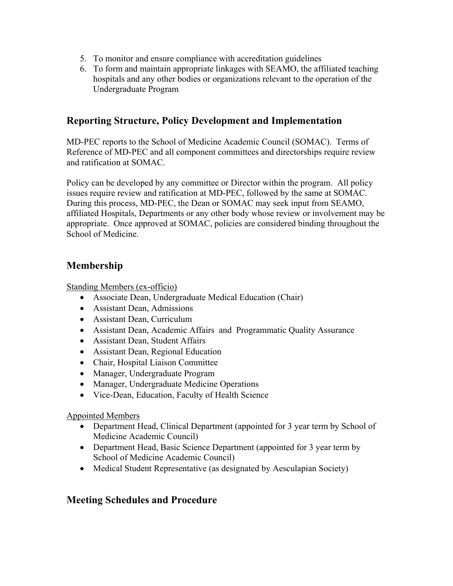- 5. To monitor and ensure compliance with accreditation guidelines
- 6. To form and maintain appropriate linkages with SEAMO, the affiliated teaching hospitals and any other bodies or organizations relevant to the operation of the Undergraduate Program

#### **Reporting Structure, Policy Development and Implementation**

MD-PEC reports to the School of Medicine Academic Council (SOMAC). Terms of Reference of MD-PEC and all component committees and directorships require review and ratification at SOMAC.

Policy can be developed by any committee or Director within the program. All policy issues require review and ratification at MD-PEC, followed by the same at SOMAC. During this process, MD-PEC, the Dean or SOMAC may seek input from SEAMO, affiliated Hospitals, Departments or any other body whose review or involvement may be appropriate. Once approved at SOMAC, policies are considered binding throughout the School of Medicine.

#### **Membership**

Standing Members (ex-officio)

- Associate Dean, Undergraduate Medical Education (Chair)
- Assistant Dean, Admissions
- Assistant Dean, Curriculum
- Assistant Dean, Academic Affairs and Programmatic Quality Assurance
- Assistant Dean, Student Affairs
- Assistant Dean, Regional Education
- Chair, Hospital Liaison Committee
- Manager, Undergraduate Program
- Manager, Undergraduate Medicine Operations
- Vice-Dean, Education, Faculty of Health Science

#### Appointed Members

- Department Head, Clinical Department (appointed for 3 year term by School of Medicine Academic Council)
- Department Head, Basic Science Department (appointed for 3 year term by School of Medicine Academic Council)
- Medical Student Representative (as designated by Aesculapian Society)

#### **Meeting Schedules and Procedure**